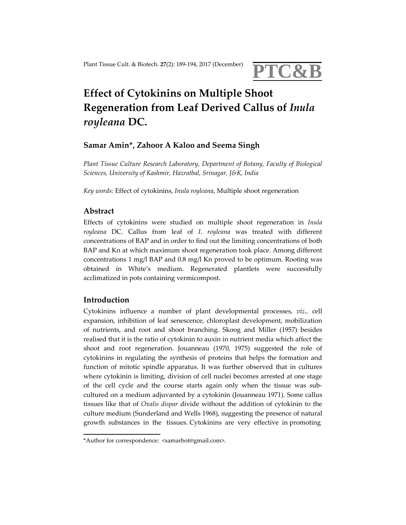

# **Effect of Cytokinins on Multiple Shoot Regeneration from Leaf Derived Callus of** *Inula royleana* **DC.**

# **Samar Amin\*, Zahoor A Kaloo and Seema Singh**

*Plant Tissue Culture Research Laboratory, Department of Botany, Faculty of Biological Sciences, University of Kashmir, Hazratbal, Srinagar, J&K, India*

*Key words:* Effect of cytokinins, *Inula royleana*, Multiple shoot regeneration

## **Abstract**

Effects of cytokinins were studied on multiple shoot regeneration in *Inula royleana* DC. Callus from leaf of *I. royleana* was treated with different concentrations of BAP and in order to find out the limiting concentrations of both BAP and Kn at which maximum shoot regeneration took place. Among different concentrations 1 mg/l BAP and 0.8 mg/l Kn proved to be optimum. Rooting was obtained in White's medium. Regenerated plantlets were successfully acclimatized in pots containing vermicompost.

## **Introduction**

Cytokinins influence a number of plant developmental processes, *viz.,* cell expansion, inhibition of leaf senescence, chloroplast development, mobilization of nutrients, and root and shoot branching. Skoog and Miller (1957) besides realised that it is the ratio of cytokinin to auxin in nutrient media which affect the shoot and root regeneration. Jouanneau (1970, 1975) suggested the role of cytokinins in regulating the synthesis of proteins that helps the formation and function of mitotic spindle apparatus. It was further observed that in cultures where cytokinin is limiting, division of cell nuclei becomes arrested at one stage of the cell cycle and the course starts again only when the tissue was sub‐ cultured on a medium adjuvanted by a cytokinin (Jouanneau 1971). Some callus tissues like that of *Oxalis dispar* divide without the addition of cytokinin to the culture medium (Sunderland and Wells 1968), suggesting the presence of natural growth substances in the tissues. Cytokinins are very effective in promoting

<sup>\*</sup>Author for correspondence: <samarbot@gmail.com>.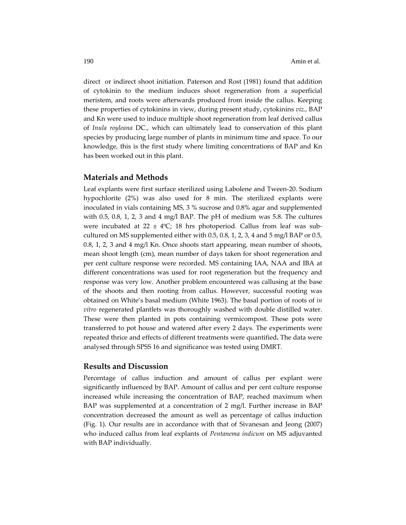direct or indirect shoot initiation. Paterson and Rost (1981) found that addition of cytokinin to the medium induces shoot regeneration from a superficial meristem, and roots were afterwards produced from inside the callus. Keeping these properties of cytokinins in view, during present study, cytokinins *viz.,* BAP and Kn were used to induce multiple shoot regeneration from leaf derived callus of *Inula royleana* DC., which can ultimately lead to conservation of this plant species by producing large number of plants in minimum time and space. To our knowledge, this is the first study where limiting concentrations of BAP and Kn has been worked out in this plant.

#### **Materials and Methods**

Leaf explants were first surface sterilized using Labolene and Tween‐20. Sodium hypochlorite (2%) was also used for 8 min. The sterilized explants were inoculated in vials containing MS, 3 % sucrose and 0.8% agar and supplemented with 0.5, 0.8, 1, 2, 3 and 4 mg/l BAP. The pH of medium was 5.8. The cultures were incubated at 22  $\pm$  4°C; 18 hrs photoperiod. Callus from leaf was subcultured on MS supplemented either with  $0.5$ ,  $0.8$ ,  $1$ ,  $2$ ,  $3$ ,  $4$  and  $5$  mg/l BAP or  $0.5$ , 0.8, 1, 2, 3 and 4 mg/l Kn. Once shoots start appearing, mean number of shoots, mean shoot length (cm), mean number of days taken for shoot regeneration and per cent culture response were recorded. MS containing IAA, NAA and IBA at different concentrations was used for root regeneration but the frequency and response was very low. Another problem encountered was callusing at the base of the shoots and then rooting from callus. However, successful rooting was obtained on White's basal medium (White 1963). The basal portion of roots of *in vitro* regenerated plantlets was thoroughly washed with double distilled water. These were then planted in pots containing vermicompost. These pots were transferred to pot house and watered after every 2 days. The experiments were repeated thrice and effects of different treatments were quantified**.** The data were analysed through SPSS 16 and significance was tested using DMRT.

## **Results and Discussion**

Percentage of callus induction and amount of callus per explant were significantly influenced by BAP. Amount of callus and per cent culture response increased while increasing the concentration of BAP, reached maximum when BAP was supplemented at a concentration of 2 mg/l. Further increase in BAP concentration decreased the amount as well as percentage of callus induction (Fig. 1). Our results are in accordance with that of Sivanesan and Jeong (2007) who induced callus from leaf explants of *Pentanema indicum* on MS adjuvanted with BAP individually.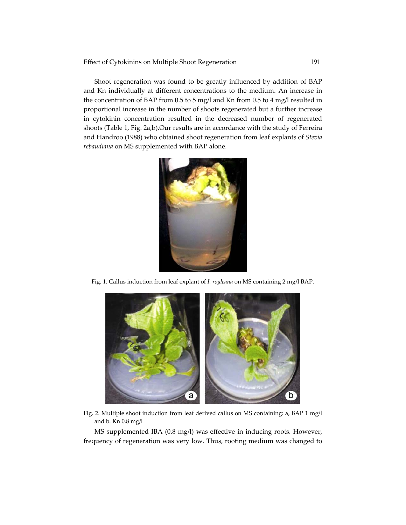Shoot regeneration was found to be greatly influenced by addition of BAP and Kn individually at different concentrations to the medium. An increase in the concentration of BAP from 0.5 to 5 mg/l and Kn from 0.5 to 4 mg/l resulted in proportional increase in the number of shoots regenerated but a further increase in cytokinin concentration resulted in the decreased number of regenerated shoots (Table 1, Fig. 2a,b).Our results are in accordance with the study of Ferreira and Handroo (1988) who obtained shoot regeneration from leaf explants of *Stevia rebaudiana* on MS supplemented with BAP alone.



Fig. 1. Callus induction from leaf explant of *I. royleana* on MS containing 2 mg/l BAP.



Fig. 2. Multiple shoot induction from leaf derived callus on MS containing: a, BAP 1 mg/l and b. Kn 0.8 mg/l

MS supplemented IBA (0.8 mg/l) was effective in inducing roots. However, frequency of regeneration was very low. Thus, rooting medium was changed to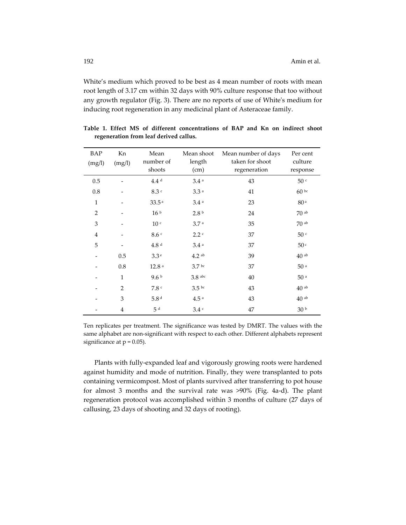White's medium which proved to be best as 4 mean number of roots with mean root length of 3.17 cm within 32 days with 90% culture response that too without any growth regulator (Fig. 3). There are no reports of use of Whiteʹs medium for inducing root regeneration in any medicinal plant of Asteraceae family.

| <b>BAP</b><br>(mg/l) | Kn<br>(mg/l)   | Mean<br>number of<br>shoots | Mean shoot<br>length<br>(cm) | Mean number of days<br>taken for shoot<br>regeneration | Per cent<br>culture<br>response |
|----------------------|----------------|-----------------------------|------------------------------|--------------------------------------------------------|---------------------------------|
| 0.5                  |                | 4.4 <sup>d</sup>            | 3.4a                         | 43                                                     | 50 <sup>c</sup>                 |
| $0.8\,$              |                | 8.3C                        | 3.3a                         | 41                                                     | 60 bc                           |
| $\mathbf{1}$         |                | 33.5 <sup>a</sup>           | 3.4a                         | 23                                                     | 80 <sup>a</sup>                 |
| $\overline{2}$       |                | 16 <sup>b</sup>             | 2.8 <sup>b</sup>             | 24                                                     | $70$ ab                         |
| 3                    |                | $10$ $^{\circ}$             | 3.7 <sup>a</sup>             | 35                                                     | $70$ ab                         |
| $\overline{4}$       |                | 8.6c                        | 2.2c                         | 37                                                     | 50 <sup>c</sup>                 |
| 5                    |                | 4.8 <sup>d</sup>            | 3.4a                         | 37                                                     | 50 <sup>c</sup>                 |
|                      | 0.5            | 3.3e                        | $4.2$ ab                     | 39                                                     | $40$ ab                         |
|                      | $0.8\,$        | $12.8$ $^{\rm a}$           | 3.7 <sup>bc</sup>            | 37                                                     | $50$ a                          |
|                      | $\mathbf{1}$   | 9.6 <sup>b</sup>            | $3.8$ abc                    | 40                                                     | 50 <sup>a</sup>                 |
|                      | $\overline{2}$ | 7.8c                        | 3.5 <sup>bc</sup>            | 43                                                     | $40$ ab                         |
|                      | $\mathfrak{Z}$ | 5.8 <sup>d</sup>            | $4.5$ $^{\rm a}$             | 43                                                     | $40$ ab                         |
|                      | $\overline{4}$ | $5d$                        | 3.4c                         | 47                                                     | 30 <sup>b</sup>                 |

**Table 1. Effect MS of different concentrations of BAP and Kn on indirect shoot regeneration from leaf derived callus.**

Ten replicates per treatment. The significance was tested by DMRT. The values with the same alphabet are non‐significant with respect to each other. Different alphabets represent significance at  $p = 0.05$ ).

Plants with fully‐expanded leaf and vigorously growing roots were hardened against humidity and mode of nutrition. Finally, they were transplanted to pots containing vermicompost. Most of plants survived after transferring to pot house for almost 3 months and the survival rate was >90% (Fig. 4a‐d). The plant regeneration protocol was accomplished within 3 months of culture (27 days of callusing, 23 days of shooting and 32 days of rooting).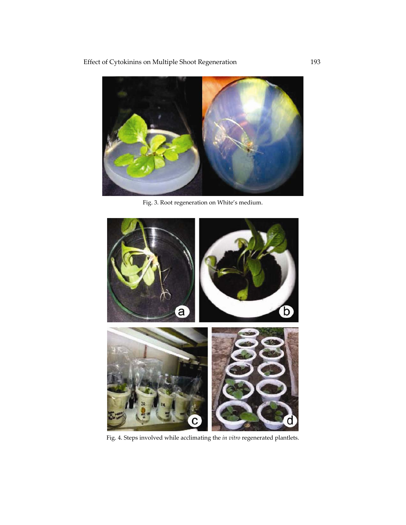Effect of Cytokinins on Multiple Shoot Regeneration 193



Fig. 3. Root regeneration on White's medium.



Fig. 4. Steps involved while acclimating the *in vitro* regenerated plantlets.